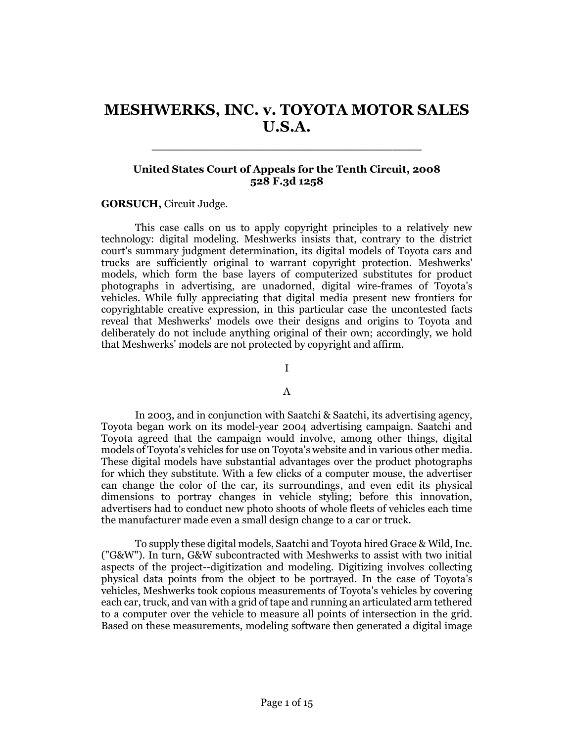# **MESHWERKS, INC. v. TOYOTA MOTOR SALES U.S.A.**

\_\_\_\_\_\_\_\_\_\_\_\_\_\_\_\_\_\_\_\_\_\_\_\_\_\_\_\_

### **United States Court of Appeals for the Tenth Circuit, 2008 528 F.3d 1258**

**GORSUCH,** Circuit Judge.

This case calls on us to apply copyright principles to a relatively new technology: digital modeling. Meshwerks insists that, contrary to the district court's summary judgment determination, its digital models of Toyota cars and trucks are sufficiently original to warrant copyright protection. Meshwerks' models, which form the base layers of computerized substitutes for product photographs in advertising, are unadorned, digital wire-frames of Toyota's vehicles. While fully appreciating that digital media present new frontiers for copyrightable creative expression, in this particular case the uncontested facts reveal that Meshwerks' models owe their designs and origins to Toyota and deliberately do not include anything original of their own; accordingly, we hold that Meshwerks' models are not protected by copyright and affirm.

I

### A

In 2003, and in conjunction with Saatchi & Saatchi, its advertising agency, Toyota began work on its model-year 2004 advertising campaign. Saatchi and Toyota agreed that the campaign would involve, among other things, digital models of Toyota's vehicles for use on Toyota's website and in various other media. These digital models have substantial advantages over the product photographs for which they substitute. With a few clicks of a computer mouse, the advertiser can change the color of the car, its surroundings, and even edit its physical dimensions to portray changes in vehicle styling; before this innovation, advertisers had to conduct new photo shoots of whole fleets of vehicles each time the manufacturer made even a small design change to a car or truck.

To supply these digital models, Saatchi and Toyota hired Grace & Wild, Inc. ("G&W"). In turn, G&W subcontracted with Meshwerks to assist with two initial aspects of the project--digitization and modeling. Digitizing involves collecting physical data points from the object to be portrayed. In the case of Toyota's vehicles, Meshwerks took copious measurements of Toyota's vehicles by covering each car, truck, and van with a grid of tape and running an articulated arm tethered to a computer over the vehicle to measure all points of intersection in the grid. Based on these measurements, modeling software then generated a digital image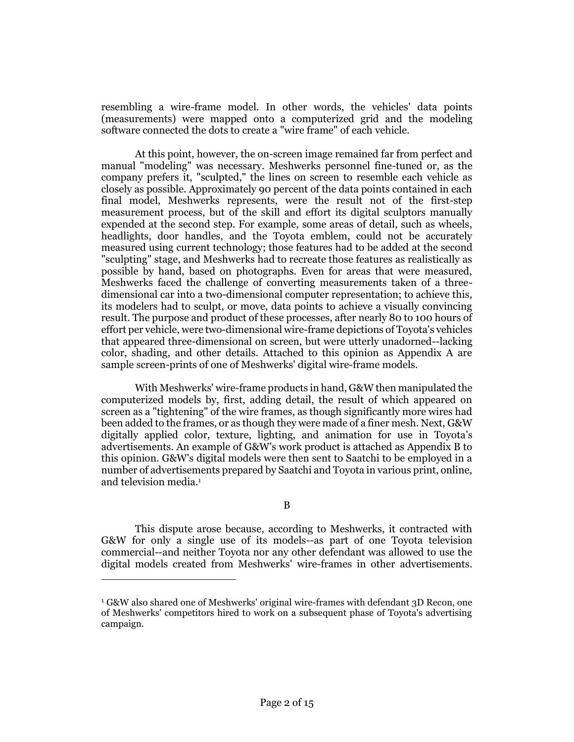resembling a wire-frame model. In other words, the vehicles' data points (measurements) were mapped onto a computerized grid and the modeling software connected the dots to create a "wire frame" of each vehicle.

At this point, however, the on-screen image remained far from perfect and manual "modeling" was necessary. Meshwerks personnel fine-tuned or, as the company prefers it, "sculpted," the lines on screen to resemble each vehicle as closely as possible. Approximately 90 percent of the data points contained in each final model, Meshwerks represents, were the result not of the first-step measurement process, but of the skill and effort its digital sculptors manually expended at the second step. For example, some areas of detail, such as wheels, headlights, door handles, and the Toyota emblem, could not be accurately measured using current technology; those features had to be added at the second "sculpting" stage, and Meshwerks had to recreate those features as realistically as possible by hand, based on photographs. Even for areas that were measured, Meshwerks faced the challenge of converting measurements taken of a threedimensional car into a two-dimensional computer representation; to achieve this, its modelers had to sculpt, or move, data points to achieve a visually convincing result. The purpose and product of these processes, after nearly 80 to 100 hours of effort per vehicle, were two-dimensional wire-frame depictions of Toyota's vehicles that appeared three-dimensional on screen, but were utterly unadorned--lacking color, shading, and other details. Attached to this opinion as Appendix A are sample screen-prints of one of Meshwerks' digital wire-frame models.

With Meshwerks' wire-frame products in hand, G&W then manipulated the computerized models by, first, adding detail, the result of which appeared on screen as a "tightening" of the wire frames, as though significantly more wires had been added to the frames, or as though they were made of a finer mesh. Next, G&W digitally applied color, texture, lighting, and animation for use in Toyota's advertisements. An example of G&W's work product is attached as Appendix B to this opinion. G&W's digital models were then sent to Saatchi to be employed in a number of advertisements prepared by Saatchi and Toyota in various print, online, and television media.<sup>1</sup>

B

This dispute arose because, according to Meshwerks, it contracted with G&W for only a single use of its models--as part of one Toyota television commercial--and neither Toyota nor any other defendant was allowed to use the digital models created from Meshwerks' wire-frames in other advertisements.

<sup>1</sup> G&W also shared one of Meshwerks' original wire-frames with defendant 3D Recon, one of Meshwerks' competitors hired to work on a subsequent phase of Toyota's advertising campaign.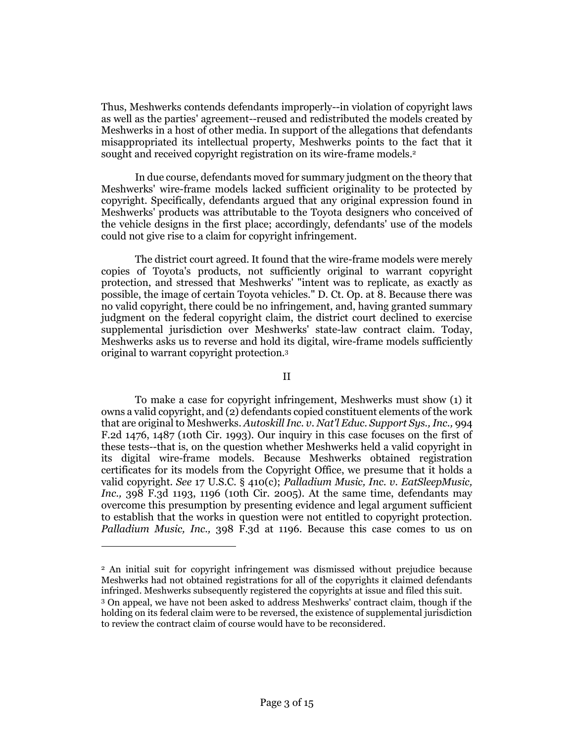Thus, Meshwerks contends defendants improperly--in violation of copyright laws as well as the parties' agreement--reused and redistributed the models created by Meshwerks in a host of other media. In support of the allegations that defendants misappropriated its intellectual property, Meshwerks points to the fact that it sought and received copyright registration on its wire-frame models.<sup>2</sup>

In due course, defendants moved for summary judgment on the theory that Meshwerks' wire-frame models lacked sufficient originality to be protected by copyright. Specifically, defendants argued that any original expression found in Meshwerks' products was attributable to the Toyota designers who conceived of the vehicle designs in the first place; accordingly, defendants' use of the models could not give rise to a claim for copyright infringement.

The district court agreed. It found that the wire-frame models were merely copies of Toyota's products, not sufficiently original to warrant copyright protection, and stressed that Meshwerks' "intent was to replicate, as exactly as possible, the image of certain Toyota vehicles." D. Ct. Op. at 8. Because there was no valid copyright, there could be no infringement, and, having granted summary judgment on the federal copyright claim, the district court declined to exercise supplemental jurisdiction over Meshwerks' state-law contract claim. Today, Meshwerks asks us to reverse and hold its digital, wire-frame models sufficiently original to warrant copyright protection.<sup>3</sup>

### II

To make a case for copyright infringement, Meshwerks must show (1) it owns a valid copyright, and (2) defendants copied constituent elements of the work that are original to Meshwerks. *Autoskill Inc. v. Nat'l Educ. Support Sys., Inc.,* 994 F.2d 1476, 1487 (10th Cir. 1993). Our inquiry in this case focuses on the first of these tests--that is, on the question whether Meshwerks held a valid copyright in its digital wire-frame models. Because Meshwerks obtained registration certificates for its models from the Copyright Office, we presume that it holds a valid copyright. *See* 17 U.S.C. § 410(c); *Palladium Music, Inc. v. EatSleepMusic, Inc.,* 398 F.3d 1193, 1196 (10th Cir. 2005). At the same time, defendants may overcome this presumption by presenting evidence and legal argument sufficient to establish that the works in question were not entitled to copyright protection. *Palladium Music, Inc.,* 398 F.3d at 1196. Because this case comes to us on

<sup>2</sup> An initial suit for copyright infringement was dismissed without prejudice because Meshwerks had not obtained registrations for all of the copyrights it claimed defendants infringed. Meshwerks subsequently registered the copyrights at issue and filed this suit. <sup>3</sup> On appeal, we have not been asked to address Meshwerks' contract claim, though if the holding on its federal claim were to be reversed, the existence of supplemental jurisdiction to review the contract claim of course would have to be reconsidered.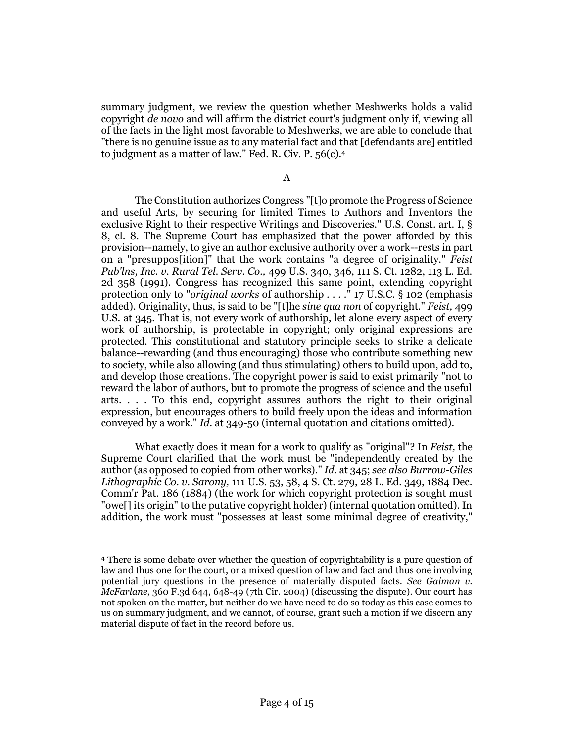summary judgment, we review the question whether Meshwerks holds a valid copyright *de novo* and will affirm the district court's judgment only if, viewing all of the facts in the light most favorable to Meshwerks, we are able to conclude that "there is no genuine issue as to any material fact and that [defendants are] entitled to judgment as a matter of law." Fed. R. Civ. P. 56(c).<sup>4</sup>

### A

The Constitution authorizes Congress "[t]o promote the Progress of Science and useful Arts, by securing for limited Times to Authors and Inventors the exclusive Right to their respective Writings and Discoveries." U.S. Const. art. I, § 8, cl. 8. The Supreme Court has emphasized that the power afforded by this provision--namely, to give an author exclusive authority over a work--rests in part on a "presuppos[ition]" that the work contains "a degree of originality." *Feist Pub'lns, Inc. v. Rural Tel. Serv. Co.,* 499 U.S. 340, 346, 111 S. Ct. 1282, 113 L. Ed. 2d 358 (1991). Congress has recognized this same point, extending copyright protection only to "*original works* of authorship . . . ." 17 U.S.C. § 102 (emphasis added). Originality, thus, is said to be "[t]he *sine qua non* of copyright." *Feist,* 499 U.S. at 345. That is, not every work of authorship, let alone every aspect of every work of authorship, is protectable in copyright; only original expressions are protected. This constitutional and statutory principle seeks to strike a delicate balance--rewarding (and thus encouraging) those who contribute something new to society, while also allowing (and thus stimulating) others to build upon, add to, and develop those creations. The copyright power is said to exist primarily "not to reward the labor of authors, but to promote the progress of science and the useful arts. . . . To this end, copyright assures authors the right to their original expression, but encourages others to build freely upon the ideas and information conveyed by a work." *Id.* at 349-50 (internal quotation and citations omitted).

What exactly does it mean for a work to qualify as "original"? In *Feist,* the Supreme Court clarified that the work must be "independently created by the author (as opposed to copied from other works)." *Id.* at 345; *see also Burrow-Giles Lithographic Co. v. Sarony,* 111 U.S. 53, 58, 4 S. Ct. 279, 28 L. Ed. 349, 1884 Dec. Comm'r Pat. 186 (1884) (the work for which copyright protection is sought must "owe[] its origin" to the putative copyright holder) (internal quotation omitted). In addition, the work must "possesses at least some minimal degree of creativity,"

<sup>4</sup> There is some debate over whether the question of copyrightability is a pure question of law and thus one for the court, or a mixed question of law and fact and thus one involving potential jury questions in the presence of materially disputed facts. *See Gaiman v. McFarlane,* 360 F.3d 644, 648-49 (7th Cir. 2004) (discussing the dispute). Our court has not spoken on the matter, but neither do we have need to do so today as this case comes to us on summary judgment, and we cannot, of course, grant such a motion if we discern any material dispute of fact in the record before us.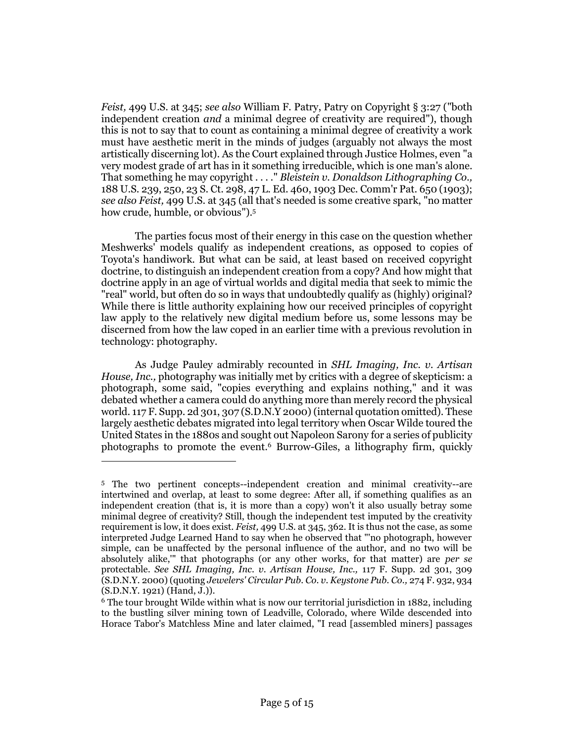*Feist,* 499 U.S. at 345; *see also* William F. Patry, Patry on Copyright § 3:27 ("both independent creation *and* a minimal degree of creativity are required"), though this is not to say that to count as containing a minimal degree of creativity a work must have aesthetic merit in the minds of judges (arguably not always the most artistically discerning lot). As the Court explained through Justice Holmes, even "a very modest grade of art has in it something irreducible, which is one man's alone. That something he may copyright . . . ." *Bleistein v. Donaldson Lithographing Co.,* 188 U.S. 239, 250, 23 S. Ct. 298, 47 L. Ed. 460, 1903 Dec. Comm'r Pat. 650 (1903); *see also Feist,* 499 U.S. at 345 (all that's needed is some creative spark, "no matter how crude, humble, or obvious").<sup>5</sup>

The parties focus most of their energy in this case on the question whether Meshwerks' models qualify as independent creations, as opposed to copies of Toyota's handiwork. But what can be said, at least based on received copyright doctrine, to distinguish an independent creation from a copy? And how might that doctrine apply in an age of virtual worlds and digital media that seek to mimic the "real" world, but often do so in ways that undoubtedly qualify as (highly) original? While there is little authority explaining how our received principles of copyright law apply to the relatively new digital medium before us, some lessons may be discerned from how the law coped in an earlier time with a previous revolution in technology: photography.

As Judge Pauley admirably recounted in *SHL Imaging, Inc. v. Artisan House, Inc.,* photography was initially met by critics with a degree of skepticism: a photograph, some said, "copies everything and explains nothing," and it was debated whether a camera could do anything more than merely record the physical world. 117 F. Supp. 2d 301, 307 (S.D.N.Y 2000) (internal quotation omitted). These largely aesthetic debates migrated into legal territory when Oscar Wilde toured the United States in the 1880s and sought out Napoleon Sarony for a series of publicity photographs to promote the event.<sup>6</sup> Burrow-Giles, a lithography firm, quickly

<sup>5</sup> The two pertinent concepts--independent creation and minimal creativity--are intertwined and overlap, at least to some degree: After all, if something qualifies as an independent creation (that is, it is more than a copy) won't it also usually betray some minimal degree of creativity? Still, though the independent test imputed by the creativity requirement is low, it does exist. *Feist,* 499 U.S. at 345, 362. It is thus not the case, as some interpreted Judge Learned Hand to say when he observed that "'no photograph, however simple, can be unaffected by the personal influence of the author, and no two will be absolutely alike,'" that photographs (or any other works, for that matter) are *per se* protectable. *See SHL Imaging, Inc. v. Artisan House, Inc.,* 117 F. Supp. 2d 301, 309 (S.D.N.Y. 2000) (quoting *Jewelers' Circular Pub. Co. v. Keystone Pub. Co.,* 274 F. 932, 934 (S.D.N.Y. 1921) (Hand, J.)).

 $6$  The tour brought Wilde within what is now our territorial jurisdiction in 1882, including to the bustling silver mining town of Leadville, Colorado, where Wilde descended into Horace Tabor's Matchless Mine and later claimed, "I read [assembled miners] passages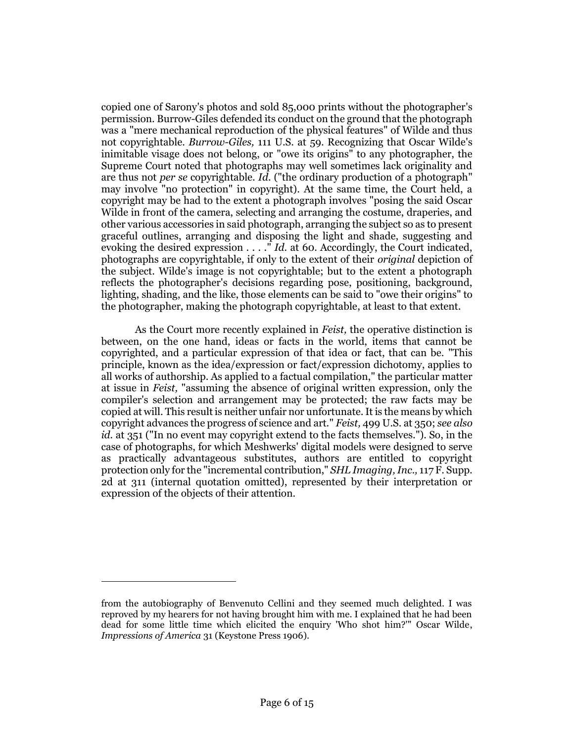copied one of Sarony's photos and sold 85,000 prints without the photographer's permission. Burrow-Giles defended its conduct on the ground that the photograph was a "mere mechanical reproduction of the physical features" of Wilde and thus not copyrightable. *Burrow-Giles,* 111 U.S. at 59. Recognizing that Oscar Wilde's inimitable visage does not belong, or "owe its origins" to any photographer, the Supreme Court noted that photographs may well sometimes lack originality and are thus not *per se* copyrightable. *Id.* ("the ordinary production of a photograph" may involve "no protection" in copyright). At the same time, the Court held, a copyright may be had to the extent a photograph involves "posing the said Oscar Wilde in front of the camera, selecting and arranging the costume, draperies, and other various accessories in said photograph, arranging the subject so as to present graceful outlines, arranging and disposing the light and shade, suggesting and evoking the desired expression . . . ." *Id.* at 60. Accordingly, the Court indicated, photographs are copyrightable, if only to the extent of their *original* depiction of the subject. Wilde's image is not copyrightable; but to the extent a photograph reflects the photographer's decisions regarding pose, positioning, background, lighting, shading, and the like, those elements can be said to "owe their origins" to the photographer, making the photograph copyrightable, at least to that extent.

As the Court more recently explained in *Feist,* the operative distinction is between, on the one hand, ideas or facts in the world, items that cannot be copyrighted, and a particular expression of that idea or fact, that can be. "This principle, known as the idea/expression or fact/expression dichotomy, applies to all works of authorship. As applied to a factual compilation," the particular matter at issue in *Feist,* "assuming the absence of original written expression, only the compiler's selection and arrangement may be protected; the raw facts may be copied at will. This result is neither unfair nor unfortunate. It is the means by which copyright advances the progress of science and art." *Feist,* 499 U.S. at 350; *see also id.* at 351 ("In no event may copyright extend to the facts themselves."). So, in the case of photographs, for which Meshwerks' digital models were designed to serve as practically advantageous substitutes, authors are entitled to copyright protection only for the "incremental contribution," *SHL Imaging, Inc.,* 117 F. Supp. 2d at 311 (internal quotation omitted), represented by their interpretation or expression of the objects of their attention.

from the autobiography of Benvenuto Cellini and they seemed much delighted. I was reproved by my hearers for not having brought him with me. I explained that he had been dead for some little time which elicited the enquiry 'Who shot him?'" Oscar Wilde, *Impressions of America* 31 (Keystone Press 1906).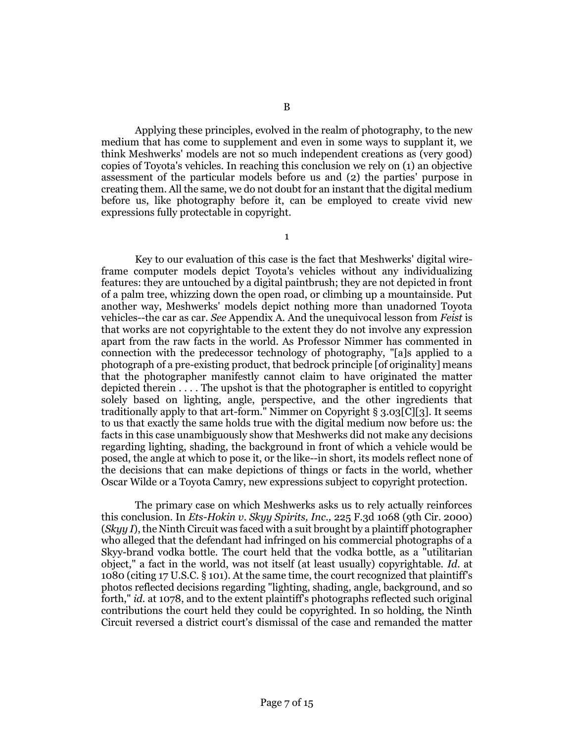Applying these principles, evolved in the realm of photography, to the new medium that has come to supplement and even in some ways to supplant it, we think Meshwerks' models are not so much independent creations as (very good) copies of Toyota's vehicles. In reaching this conclusion we rely on (1) an objective assessment of the particular models before us and (2) the parties' purpose in creating them. All the same, we do not doubt for an instant that the digital medium before us, like photography before it, can be employed to create vivid new expressions fully protectable in copyright.

1

Key to our evaluation of this case is the fact that Meshwerks' digital wireframe computer models depict Toyota's vehicles without any individualizing features: they are untouched by a digital paintbrush; they are not depicted in front of a palm tree, whizzing down the open road, or climbing up a mountainside. Put another way, Meshwerks' models depict nothing more than unadorned Toyota vehicles--the car as car. *See* Appendix A. And the unequivocal lesson from *Feist* is that works are not copyrightable to the extent they do not involve any expression apart from the raw facts in the world. As Professor Nimmer has commented in connection with the predecessor technology of photography, "[a]s applied to a photograph of a pre-existing product, that bedrock principle [of originality] means that the photographer manifestly cannot claim to have originated the matter depicted therein . . . . The upshot is that the photographer is entitled to copyright solely based on lighting, angle, perspective, and the other ingredients that traditionally apply to that art-form." Nimmer on Copyright § 3.03[C][3]. It seems to us that exactly the same holds true with the digital medium now before us: the facts in this case unambiguously show that Meshwerks did not make any decisions regarding lighting, shading, the background in front of which a vehicle would be posed, the angle at which to pose it, or the like--in short, its models reflect none of the decisions that can make depictions of things or facts in the world, whether Oscar Wilde or a Toyota Camry, new expressions subject to copyright protection.

The primary case on which Meshwerks asks us to rely actually reinforces this conclusion. In *Ets-Hokin v. Skyy Spirits, Inc.,* 225 F.3d 1068 (9th Cir. 2000) (*Skyy I*), the Ninth Circuit was faced with a suit brought by a plaintiff photographer who alleged that the defendant had infringed on his commercial photographs of a Skyy-brand vodka bottle. The court held that the vodka bottle, as a "utilitarian object," a fact in the world, was not itself (at least usually) copyrightable. *Id.* at 1080 (citing 17 U.S.C. § 101). At the same time, the court recognized that plaintiff's photos reflected decisions regarding "lighting, shading, angle, background, and so forth," *id.* at 1078, and to the extent plaintiff's photographs reflected such original contributions the court held they could be copyrighted. In so holding, the Ninth Circuit reversed a district court's dismissal of the case and remanded the matter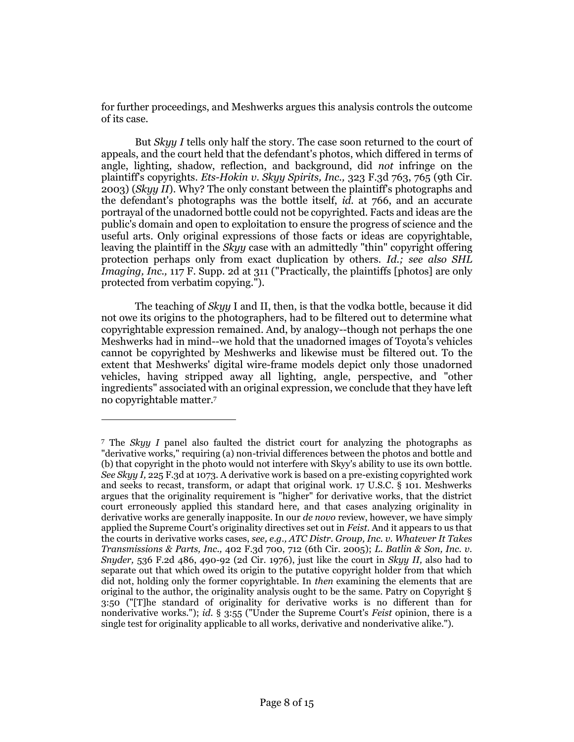for further proceedings, and Meshwerks argues this analysis controls the outcome of its case.

But *Skyy I* tells only half the story. The case soon returned to the court of appeals, and the court held that the defendant's photos, which differed in terms of angle, lighting, shadow, reflection, and background, did *not* infringe on the plaintiff's copyrights. *Ets-Hokin v. Skyy Spirits, Inc.,* 323 F.3d 763, 765 (9th Cir. 2003) (*Skyy II*). Why? The only constant between the plaintiff's photographs and the defendant's photographs was the bottle itself, *id.* at 766, and an accurate portrayal of the unadorned bottle could not be copyrighted. Facts and ideas are the public's domain and open to exploitation to ensure the progress of science and the useful arts. Only original expressions of those facts or ideas are copyrightable, leaving the plaintiff in the *Skyy* case with an admittedly "thin" copyright offering protection perhaps only from exact duplication by others. *Id.; see also SHL Imaging, Inc.,* 117 F. Supp. 2d at 311 ("Practically, the plaintiffs [photos] are only protected from verbatim copying.").

The teaching of *Skyy* I and II, then, is that the vodka bottle, because it did not owe its origins to the photographers, had to be filtered out to determine what copyrightable expression remained. And, by analogy--though not perhaps the one Meshwerks had in mind--we hold that the unadorned images of Toyota's vehicles cannot be copyrighted by Meshwerks and likewise must be filtered out. To the extent that Meshwerks' digital wire-frame models depict only those unadorned vehicles, having stripped away all lighting, angle, perspective, and "other ingredients" associated with an original expression, we conclude that they have left no copyrightable matter.<sup>7</sup>

<sup>7</sup> The *Skyy I* panel also faulted the district court for analyzing the photographs as "derivative works," requiring (a) non-trivial differences between the photos and bottle and (b) that copyright in the photo would not interfere with Skyy's ability to use its own bottle. *See Skyy I,* 225 F.3d at 1073. A derivative work is based on a pre-existing copyrighted work and seeks to recast, transform, or adapt that original work. 17 U.S.C. § 101. Meshwerks argues that the originality requirement is "higher" for derivative works, that the district court erroneously applied this standard here, and that cases analyzing originality in derivative works are generally inapposite. In our *de novo* review, however, we have simply applied the Supreme Court's originality directives set out in *Feist.* And it appears to us that the courts in derivative works cases, *see, e.g., ATC Distr. Group, Inc. v. Whatever It Takes Transmissions & Parts, Inc.,* 402 F.3d 700, 712 (6th Cir. 2005); *L. Batlin & Son, Inc. v. Snyder,* 536 F.2d 486, 490-92 (2d Cir. 1976), just like the court in *Skyy II,* also had to separate out that which owed its origin to the putative copyright holder from that which did not, holding only the former copyrightable. In *then* examining the elements that are original to the author, the originality analysis ought to be the same. Patry on Copyright § 3:50 ("[T]he standard of originality for derivative works is no different than for nonderivative works."); *id.* § 3:55 ("Under the Supreme Court's *Feist* opinion, there is a single test for originality applicable to all works, derivative and nonderivative alike.").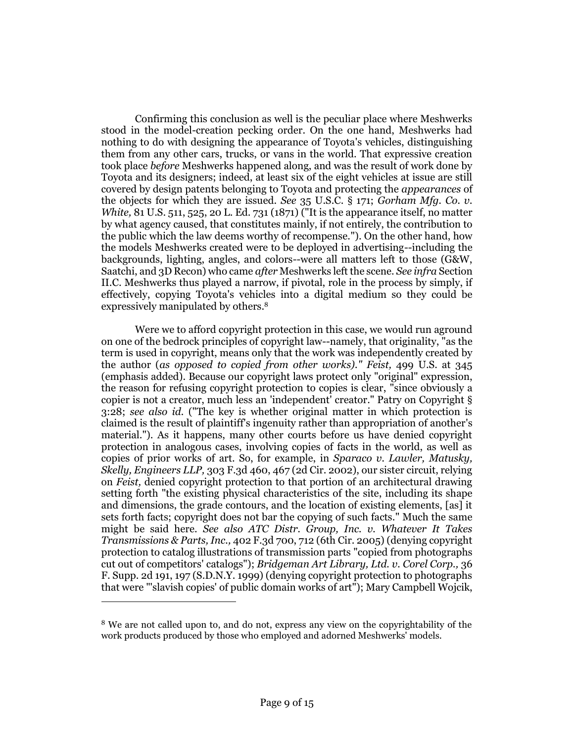Confirming this conclusion as well is the peculiar place where Meshwerks stood in the model-creation pecking order. On the one hand, Meshwerks had nothing to do with designing the appearance of Toyota's vehicles, distinguishing them from any other cars, trucks, or vans in the world. That expressive creation took place *before* Meshwerks happened along, and was the result of work done by Toyota and its designers; indeed, at least six of the eight vehicles at issue are still covered by design patents belonging to Toyota and protecting the *appearances* of the objects for which they are issued. *See* 35 U.S.C. § 171; *Gorham Mfg. Co. v. White,* 81 U.S. 511, 525, 20 L. Ed. 731 (1871) ("It is the appearance itself, no matter by what agency caused, that constitutes mainly, if not entirely, the contribution to the public which the law deems worthy of recompense."). On the other hand, how the models Meshwerks created were to be deployed in advertising--including the backgrounds, lighting, angles, and colors--were all matters left to those (G&W, Saatchi, and 3D Recon) who came *after* Meshwerks left the scene. *See infra* Section II.C. Meshwerks thus played a narrow, if pivotal, role in the process by simply, if effectively, copying Toyota's vehicles into a digital medium so they could be expressively manipulated by others.<sup>8</sup>

Were we to afford copyright protection in this case, we would run aground on one of the bedrock principles of copyright law--namely, that originality, "as the term is used in copyright, means only that the work was independently created by the author (*as opposed to copied from other works)." Feist,* 499 U.S. at 345 (emphasis added). Because our copyright laws protect only "original" expression, the reason for refusing copyright protection to copies is clear, "since obviously a copier is not a creator, much less an 'independent' creator." Patry on Copyright § 3:28; *see also id.* ("The key is whether original matter in which protection is claimed is the result of plaintiff's ingenuity rather than appropriation of another's material."). As it happens, many other courts before us have denied copyright protection in analogous cases, involving copies of facts in the world, as well as copies of prior works of art. So, for example, in *Sparaco v. Lawler, Matusky, Skelly, Engineers LLP,* 303 F.3d 460, 467 (2d Cir. 2002), our sister circuit, relying on *Feist,* denied copyright protection to that portion of an architectural drawing setting forth "the existing physical characteristics of the site, including its shape and dimensions, the grade contours, and the location of existing elements, [as] it sets forth facts; copyright does not bar the copying of such facts." Much the same might be said here. *See also ATC Distr. Group, Inc. v. Whatever It Takes Transmissions & Parts, Inc.,* 402 F.3d 700, 712 (6th Cir. 2005) (denying copyright protection to catalog illustrations of transmission parts "copied from photographs cut out of competitors' catalogs"); *Bridgeman Art Library, Ltd. v. Corel Corp.,* 36 F. Supp. 2d 191, 197 (S.D.N.Y. 1999) (denying copyright protection to photographs that were "'slavish copies' of public domain works of art"); Mary Campbell Wojcik,

<sup>8</sup> We are not called upon to, and do not, express any view on the copyrightability of the work products produced by those who employed and adorned Meshwerks' models.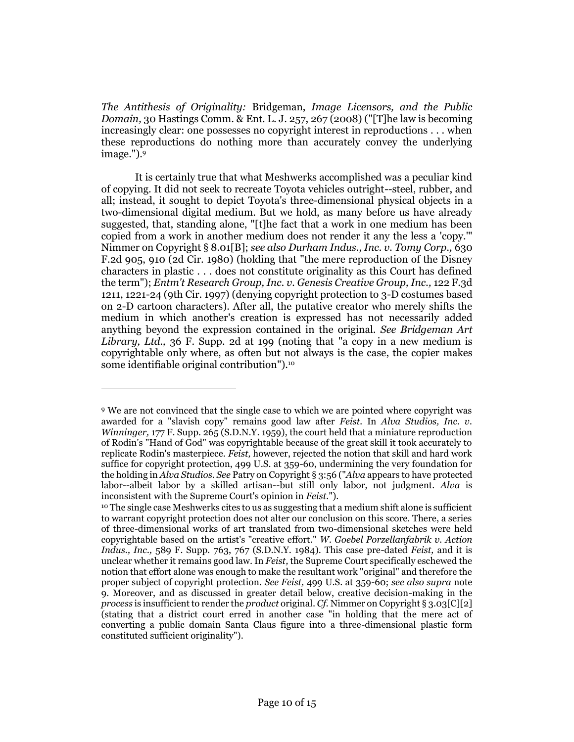*The Antithesis of Originality:* Bridgeman, *Image Licensors, and the Public Domain,* 30 Hastings Comm. & Ent. L. J. 257, 267 (2008) ("[T]he law is becoming increasingly clear: one possesses no copyright interest in reproductions . . . when these reproductions do nothing more than accurately convey the underlying image.").<sup>9</sup>

It is certainly true that what Meshwerks accomplished was a peculiar kind of copying. It did not seek to recreate Toyota vehicles outright--steel, rubber, and all; instead, it sought to depict Toyota's three-dimensional physical objects in a two-dimensional digital medium. But we hold, as many before us have already suggested, that, standing alone, "[t]he fact that a work in one medium has been copied from a work in another medium does not render it any the less a 'copy.'" Nimmer on Copyright § 8.01[B]; *see also Durham Indus., Inc. v. Tomy Corp.,* 630 F.2d 905, 910 (2d Cir. 1980) (holding that "the mere reproduction of the Disney characters in plastic . . . does not constitute originality as this Court has defined the term"); *Entm't Research Group, Inc. v. Genesis Creative Group, Inc.,* 122 F.3d 1211, 1221-24 (9th Cir. 1997) (denying copyright protection to 3-D costumes based on 2-D cartoon characters). After all, the putative creator who merely shifts the medium in which another's creation is expressed has not necessarily added anything beyond the expression contained in the original. *See Bridgeman Art Library, Ltd.,* 36 F. Supp. 2d at 199 (noting that "a copy in a new medium is copyrightable only where, as often but not always is the case, the copier makes some identifiable original contribution").<sup>10</sup>

<sup>9</sup> We are not convinced that the single case to which we are pointed where copyright was awarded for a "slavish copy" remains good law after *Feist.* In *Alva Studios, Inc. v. Winninger,* 177 F. Supp. 265 (S.D.N.Y. 1959), the court held that a miniature reproduction of Rodin's "Hand of God" was copyrightable because of the great skill it took accurately to replicate Rodin's masterpiece. *Feist,* however, rejected the notion that skill and hard work suffice for copyright protection, 499 U.S. at 359-60, undermining the very foundation for the holding in *Alva Studios. See* Patry on Copyright § 3:56 ("*Alva* appears to have protected labor--albeit labor by a skilled artisan--but still only labor, not judgment. *Alva* is inconsistent with the Supreme Court's opinion in *Feist.*").

 $10$  The single case Meshwerks cites to us as suggesting that a medium shift alone is sufficient to warrant copyright protection does not alter our conclusion on this score. There, a series of three-dimensional works of art translated from two-dimensional sketches were held copyrightable based on the artist's "creative effort." *W. Goebel Porzellanfabrik v. Action Indus., Inc.,* 589 F. Supp. 763, 767 (S.D.N.Y. 1984). This case pre-dated *Feist,* and it is unclear whether it remains good law. In *Feist,* the Supreme Court specifically eschewed the notion that effort alone was enough to make the resultant work "original" and therefore the proper subject of copyright protection. *See Feist,* 499 U.S. at 359-60; *see also supra* note 9. Moreover, and as discussed in greater detail below, creative decision-making in the *process* is insufficient to render the *product* original. *Cf.* Nimmer on Copyright § 3.03[C][2] (stating that a district court erred in another case "in holding that the mere act of converting a public domain Santa Claus figure into a three-dimensional plastic form constituted sufficient originality").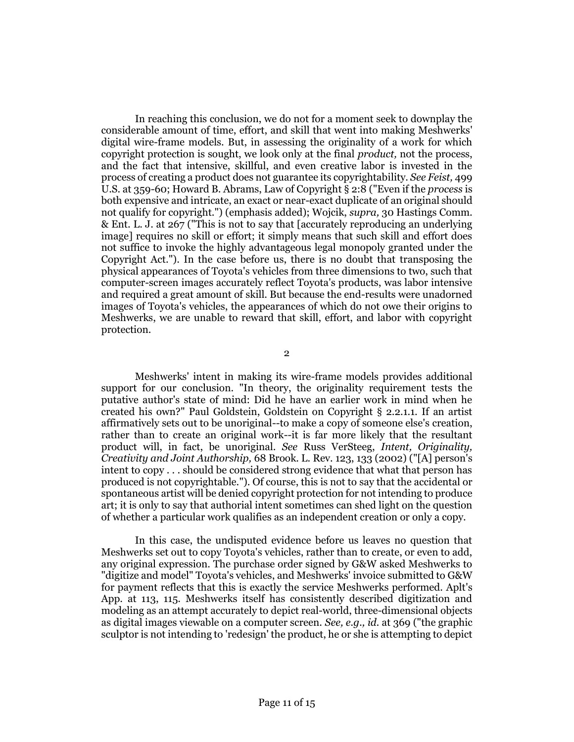In reaching this conclusion, we do not for a moment seek to downplay the considerable amount of time, effort, and skill that went into making Meshwerks' digital wire-frame models. But, in assessing the originality of a work for which copyright protection is sought, we look only at the final *product,* not the process, and the fact that intensive, skillful, and even creative labor is invested in the process of creating a product does not guarantee its copyrightability. *See Feist,* 499 U.S. at 359-60; Howard B. Abrams, Law of Copyright § 2:8 ("Even if the *process* is both expensive and intricate, an exact or near-exact duplicate of an original should not qualify for copyright.") (emphasis added); Wojcik, *supra,* 30 Hastings Comm. & Ent. L. J. at 267 ("This is not to say that [accurately reproducing an underlying image] requires no skill or effort; it simply means that such skill and effort does not suffice to invoke the highly advantageous legal monopoly granted under the Copyright Act."). In the case before us, there is no doubt that transposing the physical appearances of Toyota's vehicles from three dimensions to two, such that computer-screen images accurately reflect Toyota's products, was labor intensive and required a great amount of skill. But because the end-results were unadorned images of Toyota's vehicles, the appearances of which do not owe their origins to Meshwerks, we are unable to reward that skill, effort, and labor with copyright protection.

2

Meshwerks' intent in making its wire-frame models provides additional support for our conclusion. "In theory, the originality requirement tests the putative author's state of mind: Did he have an earlier work in mind when he created his own?" Paul Goldstein, Goldstein on Copyright § 2.2.1.1. If an artist affirmatively sets out to be unoriginal--to make a copy of someone else's creation, rather than to create an original work--it is far more likely that the resultant product will, in fact, be unoriginal. *See* Russ VerSteeg, *Intent, Originality, Creativity and Joint Authorship,* 68 Brook. L. Rev. 123, 133 (2002) ("[A] person's intent to copy . . . should be considered strong evidence that what that person has produced is not copyrightable."). Of course, this is not to say that the accidental or spontaneous artist will be denied copyright protection for not intending to produce art; it is only to say that authorial intent sometimes can shed light on the question of whether a particular work qualifies as an independent creation or only a copy.

In this case, the undisputed evidence before us leaves no question that Meshwerks set out to copy Toyota's vehicles, rather than to create, or even to add, any original expression. The purchase order signed by G&W asked Meshwerks to "digitize and model" Toyota's vehicles, and Meshwerks' invoice submitted to G&W for payment reflects that this is exactly the service Meshwerks performed. Aplt's App. at 113, 115. Meshwerks itself has consistently described digitization and modeling as an attempt accurately to depict real-world, three-dimensional objects as digital images viewable on a computer screen. *See, e.g., id.* at 369 ("the graphic sculptor is not intending to 'redesign' the product, he or she is attempting to depict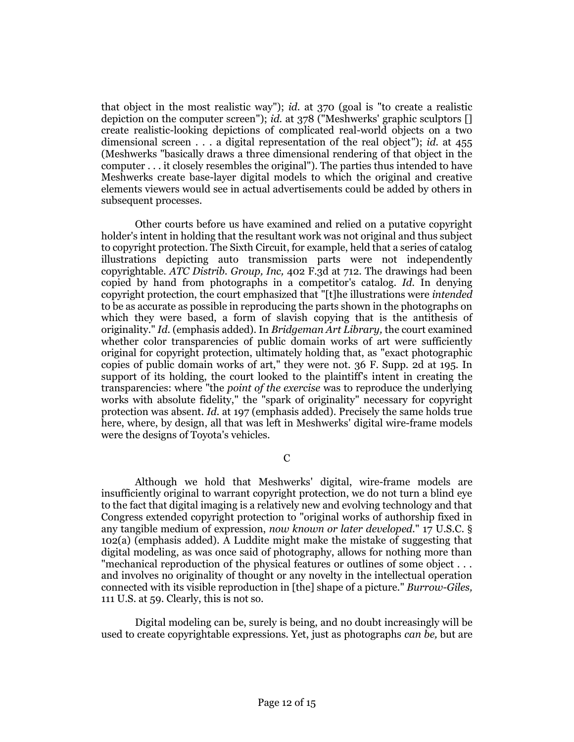that object in the most realistic way"); *id.* at 370 (goal is "to create a realistic depiction on the computer screen"); *id.* at 378 ("Meshwerks' graphic sculptors [] create realistic-looking depictions of complicated real-world objects on a two dimensional screen . . . a digital representation of the real object"); *id.* at 455 (Meshwerks "basically draws a three dimensional rendering of that object in the computer . . . it closely resembles the original"). The parties thus intended to have Meshwerks create base-layer digital models to which the original and creative elements viewers would see in actual advertisements could be added by others in subsequent processes.

Other courts before us have examined and relied on a putative copyright holder's intent in holding that the resultant work was not original and thus subject to copyright protection. The Sixth Circuit, for example, held that a series of catalog illustrations depicting auto transmission parts were not independently copyrightable. *ATC Distrib. Group, Inc,* 402 F.3d at 712. The drawings had been copied by hand from photographs in a competitor's catalog. *Id.* In denying copyright protection, the court emphasized that "[t]he illustrations were *intended* to be as accurate as possible in reproducing the parts shown in the photographs on which they were based, a form of slavish copying that is the antithesis of originality." *Id.* (emphasis added). In *Bridgeman Art Library,* the court examined whether color transparencies of public domain works of art were sufficiently original for copyright protection, ultimately holding that, as "exact photographic copies of public domain works of art," they were not. 36 F. Supp. 2d at 195. In support of its holding, the court looked to the plaintiff's intent in creating the transparencies: where "the *point of the exercise* was to reproduce the underlying works with absolute fidelity," the "spark of originality" necessary for copyright protection was absent. *Id.* at 197 (emphasis added). Precisely the same holds true here, where, by design, all that was left in Meshwerks' digital wire-frame models were the designs of Toyota's vehicles.

C

Although we hold that Meshwerks' digital, wire-frame models are insufficiently original to warrant copyright protection, we do not turn a blind eye to the fact that digital imaging is a relatively new and evolving technology and that Congress extended copyright protection to "original works of authorship fixed in any tangible medium of expression, *now known or later developed.*" 17 U.S.C. § 102(a) (emphasis added). A Luddite might make the mistake of suggesting that digital modeling, as was once said of photography, allows for nothing more than "mechanical reproduction of the physical features or outlines of some object . . . and involves no originality of thought or any novelty in the intellectual operation connected with its visible reproduction in [the] shape of a picture." *Burrow-Giles,* 111 U.S. at 59. Clearly, this is not so.

Digital modeling can be, surely is being, and no doubt increasingly will be used to create copyrightable expressions. Yet, just as photographs *can be,* but are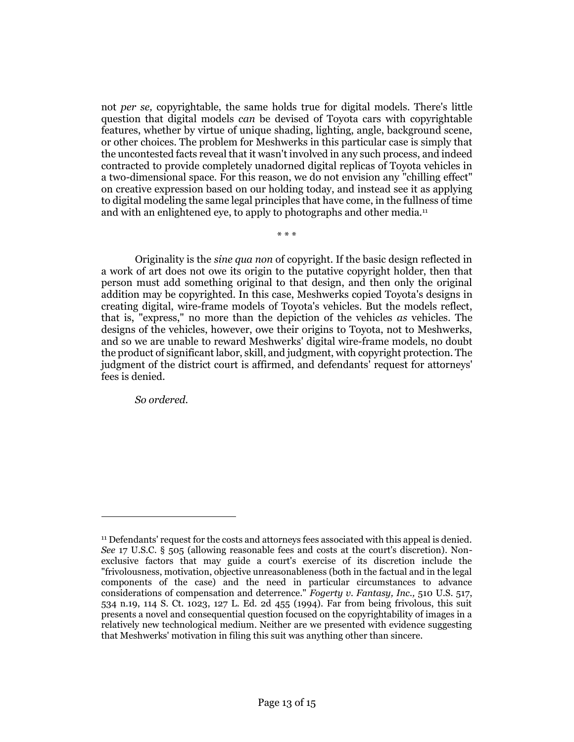not *per se,* copyrightable, the same holds true for digital models. There's little question that digital models *can* be devised of Toyota cars with copyrightable features, whether by virtue of unique shading, lighting, angle, background scene, or other choices. The problem for Meshwerks in this particular case is simply that the uncontested facts reveal that it wasn't involved in any such process, and indeed contracted to provide completely unadorned digital replicas of Toyota vehicles in a two-dimensional space. For this reason, we do not envision any "chilling effect" on creative expression based on our holding today, and instead see it as applying to digital modeling the same legal principles that have come, in the fullness of time and with an enlightened eye, to apply to photographs and other media.<sup>11</sup>

\* \* \*

Originality is the *sine qua non* of copyright. If the basic design reflected in a work of art does not owe its origin to the putative copyright holder, then that person must add something original to that design, and then only the original addition may be copyrighted. In this case, Meshwerks copied Toyota's designs in creating digital, wire-frame models of Toyota's vehicles. But the models reflect, that is, "express," no more than the depiction of the vehicles *as* vehicles. The designs of the vehicles, however, owe their origins to Toyota, not to Meshwerks, and so we are unable to reward Meshwerks' digital wire-frame models, no doubt the product of significant labor, skill, and judgment, with copyright protection. The judgment of the district court is affirmed, and defendants' request for attorneys' fees is denied.

*So ordered.*

<sup>&</sup>lt;sup>11</sup> Defendants' request for the costs and attorneys fees associated with this appeal is denied. *See* 17 U.S.C. § 505 (allowing reasonable fees and costs at the court's discretion). Nonexclusive factors that may guide a court's exercise of its discretion include the "frivolousness, motivation, objective unreasonableness (both in the factual and in the legal components of the case) and the need in particular circumstances to advance considerations of compensation and deterrence." *Fogerty v. Fantasy, Inc.,* 510 U.S. 517, 534 n.19, 114 S. Ct. 1023, 127 L. Ed. 2d 455 (1994). Far from being frivolous, this suit presents a novel and consequential question focused on the copyrightability of images in a relatively new technological medium. Neither are we presented with evidence suggesting that Meshwerks' motivation in filing this suit was anything other than sincere.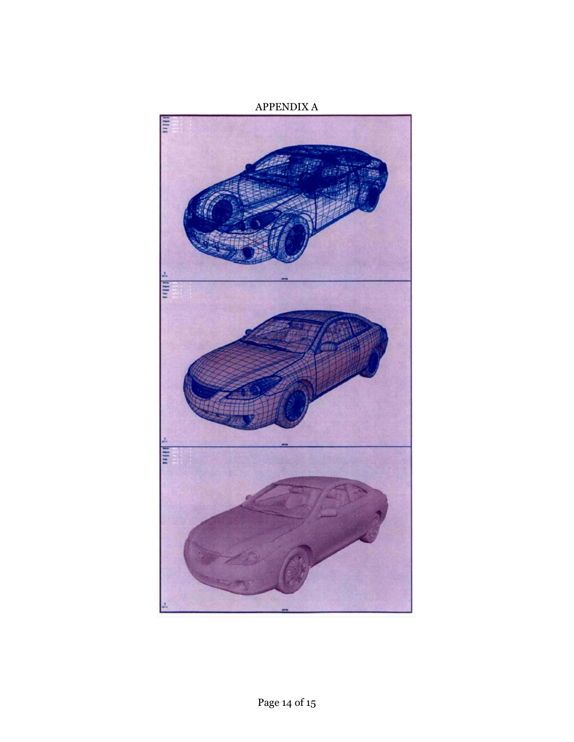# APPENDIX A